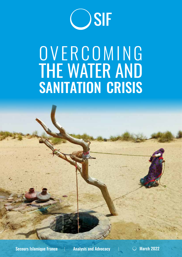

# O V E R C O M I N G the water and **SANITATION CRISIS**

Secours Islamique France  $\Box$  Analysis and Advocacy  $\Box$  March 2022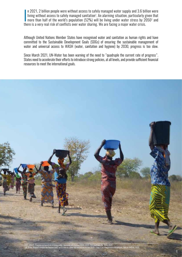n 2021, 2 billion people were without access to safely managed water supply and 3.6 billion were<br>living without access to safely managed sanitation<sup>1</sup>. An alarming situation, particularly given that<br>more than half of the w n 2021, 2 billion people were without access to safely managed water supply and 3.6 billion were living without access to safely managed sanitation<sup>1</sup>. An alarming situation, particularly given that there is a very real risk of conflicts over water sharing. We are facing a major water crisis.

Although United Nations Member States have recognised water and sanitation as human rights and have committed to the Sustainable Development Goals (SDGs) of ensuring the sustainable management of water and universal access to WASH (water, sanitation and hygiene) by 2030, progress is too slow.

Since March 2021, UN-Water has been warning of the need to "quadruple the current rate of progress". States need to accelerate their efforts to introduce strong policies, at all levels, and provide sufficient financial resources to meet the international goals.

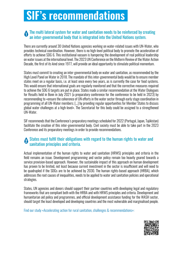# **SIF's recommendations**

#### The multi lateral system for water and sanitation needs to be reinforced by creating an inter-governmental body that is integrated into the United Nations system. **1**

There are currently around 30 United Nations agencies working on water-related issues with UN-Water, who provides technical coordination. However, there is no high-level political body to promote the acceleration of efforts to achieve SDG 6. This institutional vacuum is hampering the development of real political leadership on water issues at the international level. The 2023 UN Conference on the Midterm Review of the Water Action Decade, the first of its kind since 1977, will provide an ideal opportunity to stimulate political momentum.

States must commit to creating an inter-governmental body on water and sanitation, as recommended by the High Level Panel on Water in 2018. The mandate of this inter-governmental body would be to ensure member states meet on a regular basis, i.e. at least once every two years, as is currently the case for food systems. This would ensure that international goals are regularly monitored and that the corrective measures required to achieve the SDG 6 targets are put in place. States made a similar recommendation at the Water Dialogues for Results held in Bonn in July 2021 (a preparatory conference for the conference to be held in 2023) by recommending to «ensure the coherence of UN efforts in the water sector through early stage coordination in programming of all UN-Water members; […] by providing regular opportunities for Member States to discuss global water challenges at a high-level». The Secretariat for this body could be assigned to a strengthened UN-Water.

SIF recommends that the Conference's preparatory meetings scheduled for 2022 (Portugal, Japan, Tajikistan) facilitate the creation of this inter-governmental body. Civil society must be able to take part in the 2023 Conference and its preparatory meetings in order to provide recommendations.

## States must fulfil their obligations with regard to the human rights to water and **2**sanitation principles and criteria.

Actual implementation of the human rights to water and sanitation (HRWS) principles and criteria in the field remains an issue. Development programming and sector policy remain too heavily geared towards a service provision-based approach. However, the sustainable impact of this approach on human development has proven to be limited, not least because current investment in the sector is insufficient and will need to be quadrupled if the SDGs are to be achieved by 2030. The human rights-based approach (HRBA), which addresses the root causes of inequalities, needs to be applied to water and sanitation policies and operational strategies.

States, UN agencies and donors should support their partner countries with developing legal and regulatory frameworks that are compliant both with the HRBA and with HRWS principles and criteria. Development and humanitarian aid policy and programmes, and official development assistance funding for the WASH sector, should target the least developed and developing countries and the most vulnerable and marginalised people.

Find [our study](https://www.secours-islamique.org/images/Nouveau-site/pdf/Rapport-plaidoyer-Eau-2021-WEB-VE.pdf) «Accelerating action for rural sanitation, challenges & recommendations»:

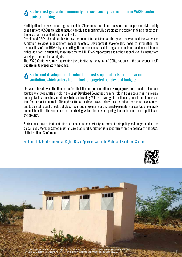#### States must guarantee community and civil society participation in WASH sector decision-making. **3**

Participation is a key human rights principle. Steps must be taken to ensure that people and civil society organisations (CSOs) are able to actively, freely and meaningfully participate in decision-making processes at the local, national and international levels.

People and CSOs should be able to have an input into decisions on the type of service and the water and sanitation services management model selected. Development stakeholders need to strengthen the justiciability of the HRWS by supporting the mechanisms used to register complaints and record human rights violations, particularly those used by the UN HRWS rapporteurs and at the national level by institutions working to defend human rights.

The 2023 Conference must guarantee the effective participation of CSOs, not only in the conference itself, but also in its preparatory meetings.

#### States and development stakeholders must step up efforts to improve rural sanitation, which suffers from a lack of targeted policies and budgets. **4**

UN-Water has drawn attention to the fact that the current sanitation coverage growth rate needs to increase fourfold worldwide, fifteen-fold in the Least Developed Countries and nine-fold in fragile countries if universal and equitable access to sanitation is to be achieved by 2030<sup>3</sup>. Coverage is particularly poor in rural areas and thus for the most vulnerable. Although sanitation has been proven to have positive effects on human development and to be vital to public health, at global level, public spending and external expenditure on sanitation generally amount to half of the sum allocated to drinking water, thereby hampering the implementation of policies on the ground4 .

States must ensure that sanitation is made a national priority in terms of both policy and budget and, at the global level, Member States must ensure that rural sanitation is placed firmly on the agenda of the 2023 United Nations Conference.

Find our [study brief](https://www.secours-islamique.org/images/Nouveau-site/plaidoyer/Study-brief-HRBA-within-WASH-sector-CoalitionEau.pdf) «The Human Rights-Based Approach within the Water and Sanitation Sector»:



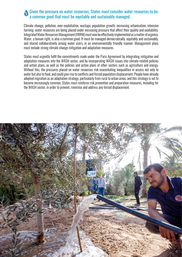#### Given the pressure on water resources, States must consider water resources to be a common good that must be equitably and sustainably managed. **5**

Climate change, pollution, over-exploitation, wastage, population growth, increasing urbanisation, intensive farming: water resources are being placed under increasing pressure that affect their quality and availability. Integrated Water Resources Management (IWRM) must now be effectively implemented as a matter of urgency. Water, a human right, is also a common good. It must be managed democratically, equitably and sustainably, and shared collaboratively among water users, in an environmentally friendly manner. Management plans must include strong climate change mitigation and adaptation measures.

States must urgently fulfil the commitments made under the Paris Agreement by integrating mitigation and adaptation measures into the WASH sector, and by incorporating WASH issues into climate-related policies and action plans, as well as the policies and action plans of other sectors such as agriculture and energy. Without this, the pressures placed on water resources risk exacerbating inequalities in access not only to water but also to food, and could give rise to conflicts and forced population displacement. People have already adopted migration as an adaptation strategy, particularly from rural to urban areas, and this strategy is set to become increasingly common. States must reinforce risk prevention and preparation measures, including for the WASH sector, in order to prevent, minimise and address any forced displacement.

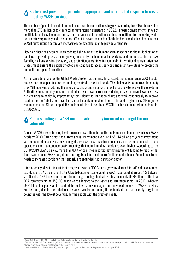#### States must prevent and provide an appropriate and coordinated response to crises affecting WASH services. **6**

The number of people in need of humanitarian assistance continues to grow. According to OCHA, there will be more than 270 million people in need of humanitarian assistance in 2022. In hostile environments, in which conflict, forced displacement and structural vulnerabilities often combine, conditions for accessing water deteriorate very rapidly and it becomes difficult to cover the needs of both the host and displaced populations. WASH humanitarian actors are increasingly being called upon to provide a response.

However, there has been an unprecedented shrinking of the humanitarian space due to the multiplication of barriers to providing assistance, growing insecurity for humanitarian workers, and an increase in the risks faced by civilians seeking the safety and protection guaranteed to them under international humanitarian law. States must ensure the people affected can continue to access services and must take steps to protect the humanitarian space from attack.

At the same time, and as the Global Wash Cluster has continually stressed, the humanitarian WASH sector has neither the capacities nor the funding required to meet all needs. The challenge is to improve the quality of WASH interventions during the emergency phase and enhance the resilience of systems over the long-term. Authorities must notably: ensure the efficient use of water resources during crises to prevent water stress; prevent risks to health by improving systems along the sanitation chain; and work continuously to improve local authorities' ability to prevent crises and maintain services in crisis-hit and fragile areas. SIF urgently recommends that States support the implementation of the Global WASH Cluster's humanitarian roadmap for 2020-2025.

### Public spending on WASH must be substantially increased and target the most **7**vulnerable.

Current WASH service funding levels are much lower than the capital costs required to meet even basic WASH needs by 2030. Three times the current annual investment levels, i.e. US\$ 114 billion per year of investment, will be required to achieve safely managed services<sup>5</sup>. These investment needs estimates do not include service operations and maintenance costs, meaning that actual funding needs are even higher. According to the 2018/2019 GLAAS survey, more than 80% of countries reported having insufficient funding to reach either their own national WASH targets or the targets set for healthcare facilities and schools. Annual investment needs to increase six-fold for the seriously under-funded rural sanitation sector.

Internationally, despite insufficient progress towards SDG 6 and a growing demand for official development assistance (ODA), the share of total ODA disbursements allocated to WASH stagnated at around 4% between 2010 and 2019©. The sector suffers from a large funding shortfall. For instance, only US\$9 billion of the total ODA commitments of US\$196 billion were allocated to the water and sanitation sector in 20177 , whereas US\$114 billion per year is required to achieve safely managed and universal access to WASH services. Furthermore, due to the imbalance between grants and loans, these funds do not sufficiently target the countries with the lowest coverage, nor the people with the greatest needs.

5 World Bank Group; UNICEF. 2017. Sanitation and Water for All: How Can the Financing Gap Be Filled?

<sup>6</sup> Coalition Eau, ONGAWA, Open consultants, WaterAid, Panorama financier du secteur de l'eau et de l'assainissement : Opportunités pour améliorer l'APD Eau et Assainissement de l'Union européenne, de la France, de l'Allemagne et de l'Espagne, 2021.

<sup>7</sup> UN-Water/WHO, GLAAS Report, National Systems to Support Drinking-Water, Sanitation and Hygiene: Global Status Report 2019.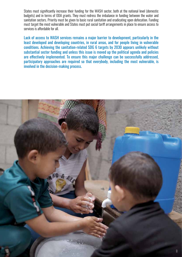States must significantly increase their funding for the WASH sector, both at the national level (domestic budgets) and in terms of ODA grants. They must redress the imbalance in funding between the water and sanitation sectors. Priority must be given to basic rural sanitation and eradicating open defecation. Funding must target the most vulnerable and States must put social tariff arrangements in place to ensure access to services is affordable for all.

Lack of access to WASH services remains a major barrier to development, particularly in the least developed and developing countries, in rural areas, and for people living in vulnerable conditions. Achieving the sanitation-related SDG 6 targets by 2030 appears unlikely without substantial sector funding and unless this issue is moved up the political agenda and policies are effectively implemented. To ensure this major challenge can be successfully addressed, participatory approaches are required so that everybody, including the most vulnerable, is involved in the decision-making process.